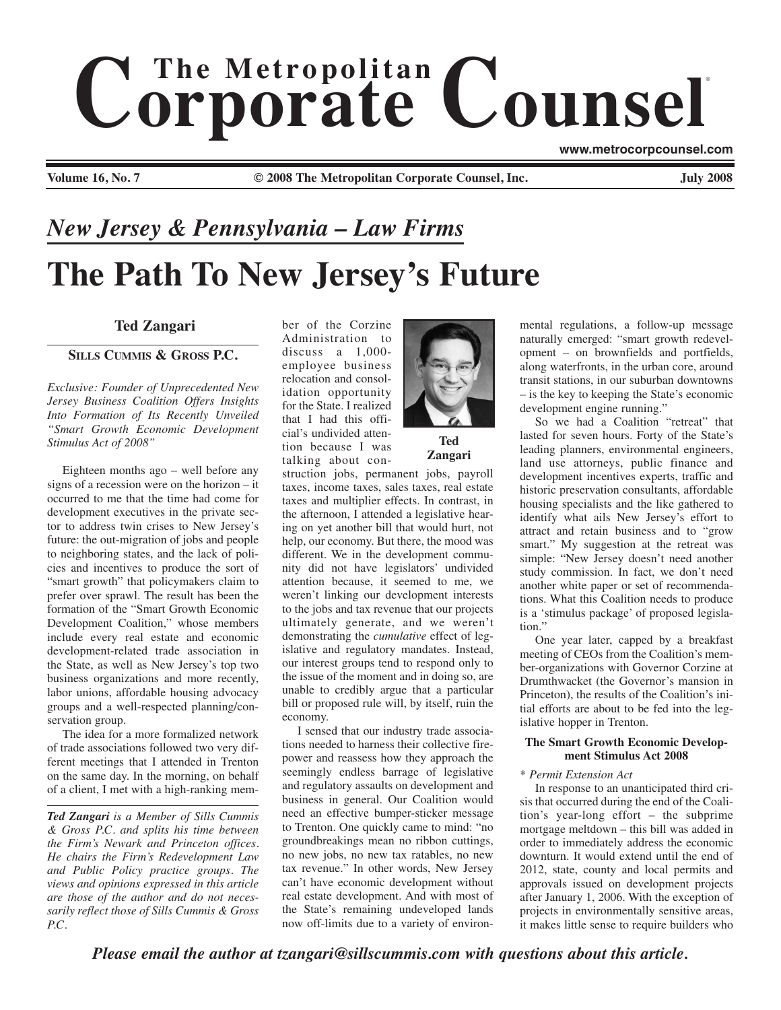# $$ ®

**www.metrocorpcounsel.com**

**Volume 16, No. 7 © 2008 The Metropolitan Corporate Counsel, Inc. July 2008**

# **The Path To New Jersey's Future** *New Jersey & Pennsylvania – Law Firms*

## **Ted Zangari**

### **SILLS CUMMIS & GROSS P.C.**

*Exclusive: Founder of Unprecedented New Jersey Business Coalition Offers Insights Into Formation of Its Recently Unveiled "Smart Growth Economic Development Stimulus Act of 2008"*

Eighteen months ago – well before any signs of a recession were on the horizon – it occurred to me that the time had come for development executives in the private sector to address twin crises to New Jersey's future: the out-migration of jobs and people to neighboring states, and the lack of policies and incentives to produce the sort of "smart growth" that policymakers claim to prefer over sprawl. The result has been the formation of the "Smart Growth Economic Development Coalition," whose members include every real estate and economic development-related trade association in the State, as well as New Jersey's top two business organizations and more recently, labor unions, affordable housing advocacy groups and a well-respected planning/conservation group.

The idea for a more formalized network of trade associations followed two very different meetings that I attended in Trenton on the same day. In the morning, on behalf of a client, I met with a high-ranking mem-

*Ted Zangari is a Member of Sills Cummis & Gross P.C. and splits his time between the Firm's Newark and Princeton offices. He chairs the Firm's Redevelopment Law and Public Policy practice groups. The views and opinions expressed in this article are those of the author and do not necessarily reflect those of Sills Cummis & Gross P.C.*

ber of the Corzine Administration to discuss a 1,000 employee business relocation and consolidation opportunity for the State. I realized that I had this official's undivided attention because I was talking about con-



**Zangari**

struction jobs, permanent jobs, payroll taxes, income taxes, sales taxes, real estate taxes and multiplier effects. In contrast, in the afternoon, I attended a legislative hearing on yet another bill that would hurt, not help, our economy. But there, the mood was different. We in the development community did not have legislators' undivided attention because, it seemed to me, we weren't linking our development interests to the jobs and tax revenue that our projects ultimately generate, and we weren't demonstrating the *cumulative* effect of legislative and regulatory mandates. Instead, our interest groups tend to respond only to the issue of the moment and in doing so, are unable to credibly argue that a particular bill or proposed rule will, by itself, ruin the economy.

I sensed that our industry trade associations needed to harness their collective firepower and reassess how they approach the seemingly endless barrage of legislative and regulatory assaults on development and business in general. Our Coalition would need an effective bumper-sticker message to Trenton. One quickly came to mind: "no groundbreakings mean no ribbon cuttings, no new jobs, no new tax ratables, no new tax revenue." In other words, New Jersey can't have economic development without real estate development. And with most of the State's remaining undeveloped lands now off-limits due to a variety of environmental regulations, a follow-up message naturally emerged: "smart growth redevelopment – on brownfields and portfields, along waterfronts, in the urban core, around transit stations, in our suburban downtowns – is the key to keeping the State's economic development engine running."

So we had a Coalition "retreat" that lasted for seven hours. Forty of the State's leading planners, environmental engineers, land use attorneys, public finance and development incentives experts, traffic and historic preservation consultants, affordable housing specialists and the like gathered to identify what ails New Jersey's effort to attract and retain business and to "grow smart." My suggestion at the retreat was simple: "New Jersey doesn't need another study commission. In fact, we don't need another white paper or set of recommendations. What this Coalition needs to produce is a 'stimulus package' of proposed legislation."

One year later, capped by a breakfast meeting of CEOs from the Coalition's member-organizations with Governor Corzine at Drumthwacket (the Governor's mansion in Princeton), the results of the Coalition's initial efforts are about to be fed into the legislative hopper in Trenton.

#### **The Smart Growth Economic Development Stimulus Act 2008**

#### *\* Permit Extension Act*

In response to an unanticipated third crisis that occurred during the end of the Coalition's year-long effort – the subprime mortgage meltdown – this bill was added in order to immediately address the economic downturn. It would extend until the end of 2012, state, county and local permits and approvals issued on development projects after January 1, 2006. With the exception of projects in environmentally sensitive areas, it makes little sense to require builders who

*Please email the author at tzangari@sillscummis.com with questions about this article.*